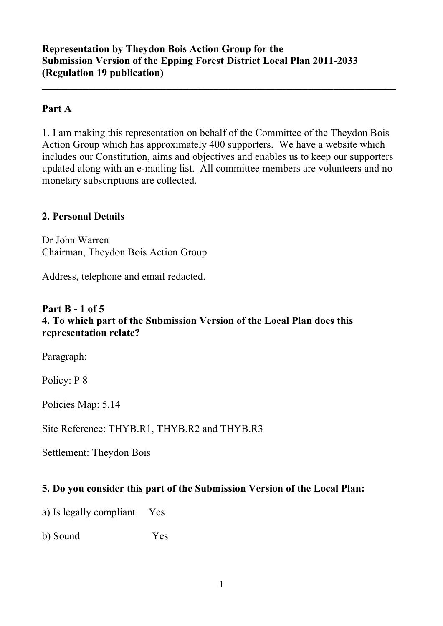#### **Part A**

1. I am making this representation on behalf of the Committee of the Theydon Bois Action Group which has approximately 400 supporters. We have a website which includes our Constitution, aims and objectives and enables us to keep our supporters updated along with an e-mailing list. All committee members are volunteers and no monetary subscriptions are collected.

**\_\_\_\_\_\_\_\_\_\_\_\_\_\_\_\_\_\_\_\_\_\_\_\_\_\_\_\_\_\_\_\_\_\_\_\_\_\_\_\_\_\_\_\_\_\_\_\_\_\_\_\_\_\_\_\_\_\_\_\_\_\_\_\_\_\_\_\_**

#### **2. Personal Details**

Dr John Warren Chairman, Theydon Bois Action Group

Address, telephone and email redacted.

#### **Part B - 1 of 5 4. To which part of the Submission Version of the Local Plan does this representation relate?**

Paragraph:

Policy: P 8

Policies Map: 5.14

Site Reference: THYB.R1, THYB.R2 and THYB.R3

Settlement: Theydon Bois

#### **5. Do you consider this part of the Submission Version of the Local Plan:**

a) Is legally compliant Yes

b) Sound Yes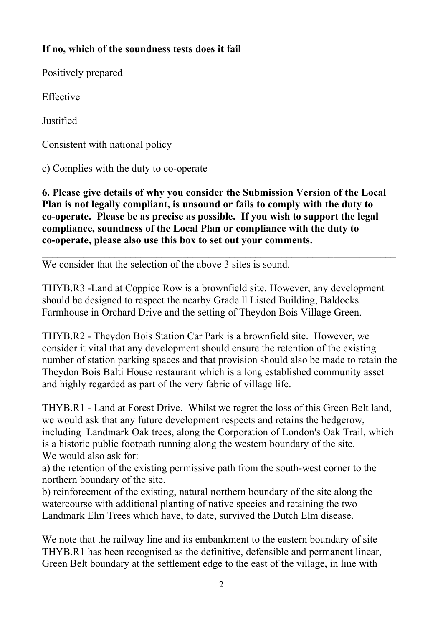# **If no, which of the soundness tests does it fail**

Positively prepared

Effective

Justified

Consistent with national policy

c) Complies with the duty to co-operate

**6. Please give details of why you consider the Submission Version of the Local Plan is not legally compliant, is unsound or fails to comply with the duty to co-operate. Please be as precise as possible. If you wish to support the legal compliance, soundness of the Local Plan or compliance with the duty to co-operate, please also use this box to set out your comments.**

 $\_$  , and the contribution of the contribution of  $\mathcal{L}_\mathcal{A}$  , and the contribution of  $\mathcal{L}_\mathcal{A}$ 

We consider that the selection of the above 3 sites is sound.

THYB.R3 -Land at Coppice Row is a brownfield site. However, any development should be designed to respect the nearby Grade ll Listed Building, Baldocks Farmhouse in Orchard Drive and the setting of Theydon Bois Village Green.

THYB.R2 - Theydon Bois Station Car Park is a brownfield site. However, we consider it vital that any development should ensure the retention of the existing number of station parking spaces and that provision should also be made to retain the Theydon Bois Balti House restaurant which is a long established community asset and highly regarded as part of the very fabric of village life.

THYB.R1 - Land at Forest Drive. Whilst we regret the loss of this Green Belt land, we would ask that any future development respects and retains the hedgerow, including Landmark Oak trees, along the Corporation of London's Oak Trail, which is a historic public footpath running along the western boundary of the site. We would also ask for:

a) the retention of the existing permissive path from the south-west corner to the northern boundary of the site.

b) reinforcement of the existing, natural northern boundary of the site along the watercourse with additional planting of native species and retaining the two Landmark Elm Trees which have, to date, survived the Dutch Elm disease.

We note that the railway line and its embankment to the eastern boundary of site THYB.R1 has been recognised as the definitive, defensible and permanent linear, Green Belt boundary at the settlement edge to the east of the village, in line with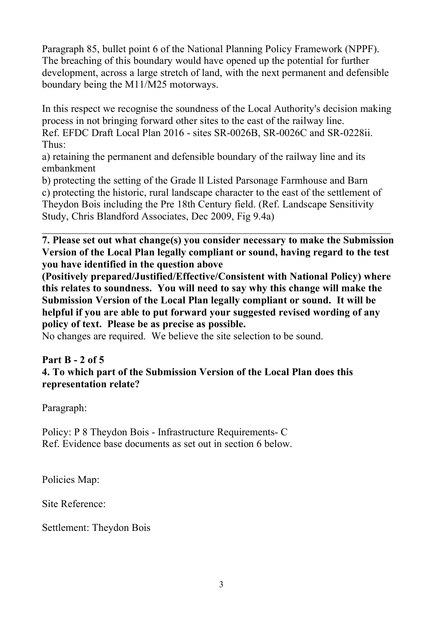Paragraph 85, bullet point 6 of the National Planning Policy Framework (NPPF). The breaching of this boundary would have opened up the potential for further development, across a large stretch of land, with the next permanent and defensible boundary being the M11/M25 motorways.

In this respect we recognise the soundness of the Local Authority's decision making process in not bringing forward other sites to the east of the railway line. Ref. EFDC Draft Local Plan 2016 - sites SR-0026B, SR-0026C and SR-0228ii. Thus:

a) retaining the permanent and defensible boundary of the railway line and its embankment

b) protecting the setting of the Grade ll Listed Parsonage Farmhouse and Barn c) protecting the historic, rural landscape character to the east of the settlement of Theydon Bois including the Pre 18th Century field. (Ref. Landscape Sensitivity Study, Chris Blandford Associates, Dec 2009, Fig 9.4a)

**7. Please set out what change(s) you consider necessary to make the Submission Version of the Local Plan legally compliant or sound, having regard to the test you have identified in the question above** 

**(Positively prepared/Justified/Effective/Consistent with National Policy) where this relates to soundness. You will need to say why this change will make the Submission Version of the Local Plan legally compliant or sound. It will be helpful if you are able to put forward your suggested revised wording of any policy of text. Please be as precise as possible.**

No changes are required. We believe the site selection to be sound.

# **Part B - 2 of 5**

# **4. To which part of the Submission Version of the Local Plan does this representation relate?**

Paragraph:

Policy: P 8 Theydon Bois - Infrastructure Requirements- C Ref. Evidence base documents as set out in section 6 below.

Policies Map:

Site Reference:

Settlement: Theydon Bois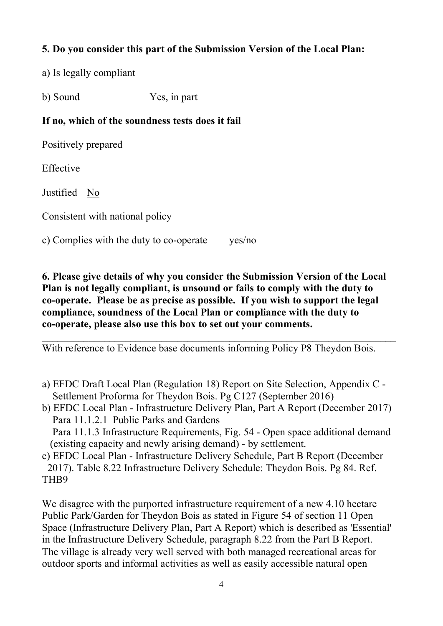# **5. Do you consider this part of the Submission Version of the Local Plan:**

a) Is legally compliant

b) Sound Yes, in part

## **If no, which of the soundness tests does it fail**

Positively prepared

Effective

Justified No

Consistent with national policy

c) Complies with the duty to co-operate yes/no

**6. Please give details of why you consider the Submission Version of the Local Plan is not legally compliant, is unsound or fails to comply with the duty to co-operate. Please be as precise as possible. If you wish to support the legal compliance, soundness of the Local Plan or compliance with the duty to co-operate, please also use this box to set out your comments.**

 $\_$  , and the contribution of the contribution of  $\mathcal{L}_\mathcal{A}$  , and the contribution of  $\mathcal{L}_\mathcal{A}$ 

With reference to Evidence base documents informing Policy P8 Theydon Bois.

- a) EFDC Draft Local Plan (Regulation 18) Report on Site Selection, Appendix C Settlement Proforma for Theydon Bois. Pg C127 (September 2016)
- b) EFDC Local Plan Infrastructure Delivery Plan, Part A Report (December 2017) Para 11.1.2.1 Public Parks and Gardens

 Para 11.1.3 Infrastructure Requirements, Fig. 54 - Open space additional demand (existing capacity and newly arising demand) - by settlement.

c) EFDC Local Plan - Infrastructure Delivery Schedule, Part B Report (December 2017). Table 8.22 Infrastructure Delivery Schedule: Theydon Bois. Pg 84. Ref. THB9

We disagree with the purported infrastructure requirement of a new 4.10 hectare Public Park/Garden for Theydon Bois as stated in Figure 54 of section 11 Open Space (Infrastructure Delivery Plan, Part A Report) which is described as 'Essential' in the Infrastructure Delivery Schedule, paragraph 8.22 from the Part B Report. The village is already very well served with both managed recreational areas for outdoor sports and informal activities as well as easily accessible natural open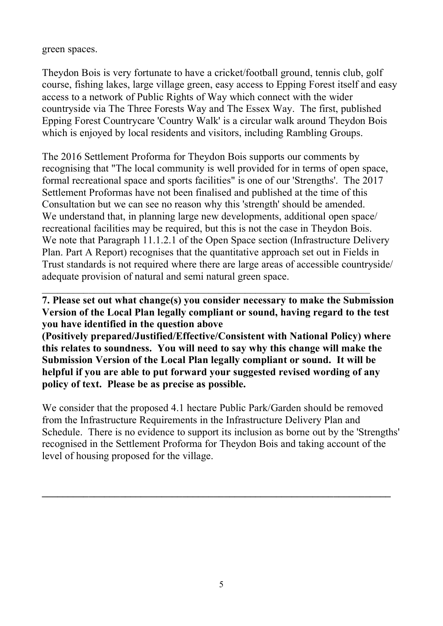green spaces.

Theydon Bois is very fortunate to have a cricket/football ground, tennis club, golf course, fishing lakes, large village green, easy access to Epping Forest itself and easy access to a network of Public Rights of Way which connect with the wider countryside via The Three Forests Way and The Essex Way. The first, published Epping Forest Countrycare 'Country Walk' is a circular walk around Theydon Bois which is enjoyed by local residents and visitors, including Rambling Groups.

The 2016 Settlement Proforma for Theydon Bois supports our comments by recognising that "The local community is well provided for in terms of open space, formal recreational space and sports facilities" is one of our 'Strengths'. The 2017 Settlement Proformas have not been finalised and published at the time of this Consultation but we can see no reason why this 'strength' should be amended. We understand that, in planning large new developments, additional open space/ recreational facilities may be required, but this is not the case in Theydon Bois. We note that Paragraph 11.1.2.1 of the Open Space section (Infrastructure Delivery Plan. Part A Report) recognises that the quantitative approach set out in Fields in Trust standards is not required where there are large areas of accessible countryside/ adequate provision of natural and semi natural green space.

**7. Please set out what change(s) you consider necessary to make the Submission Version of the Local Plan legally compliant or sound, having regard to the test you have identified in the question above** 

 $\_$  , and the contribution of the contribution of  $\mathcal{L}_\mathcal{A}$  , and the contribution of  $\mathcal{L}_\mathcal{A}$ 

**(Positively prepared/Justified/Effective/Consistent with National Policy) where this relates to soundness. You will need to say why this change will make the Submission Version of the Local Plan legally compliant or sound. It will be helpful if you are able to put forward your suggested revised wording of any policy of text. Please be as precise as possible.**

We consider that the proposed 4.1 hectare Public Park/Garden should be removed from the Infrastructure Requirements in the Infrastructure Delivery Plan and Schedule. There is no evidence to support its inclusion as borne out by the 'Strengths' recognised in the Settlement Proforma for Theydon Bois and taking account of the level of housing proposed for the village.

**\_\_\_\_\_\_\_\_\_\_\_\_\_\_\_\_\_\_\_\_\_\_\_\_\_\_\_\_\_\_\_\_\_\_\_\_\_\_\_\_\_\_\_\_\_\_\_\_\_\_\_\_\_\_\_\_\_\_\_\_\_\_\_\_\_\_\_**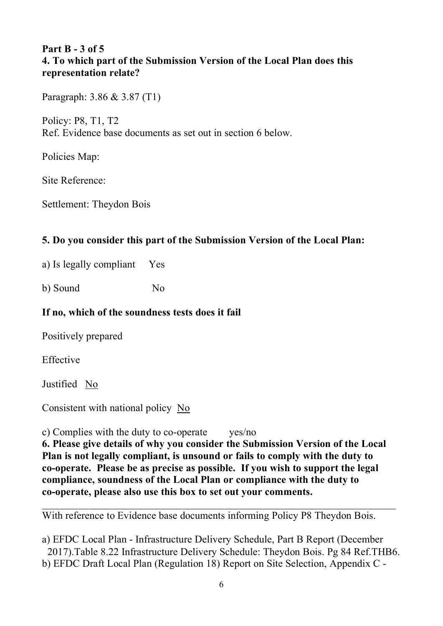## **Part B - 3 of 5 4. To which part of the Submission Version of the Local Plan does this representation relate?**

Paragraph: 3.86 & 3.87 (T1)

Policy: P8, T1, T2 Ref. Evidence base documents as set out in section 6 below.

Policies Map:

Site Reference:

Settlement: Theydon Bois

# **5. Do you consider this part of the Submission Version of the Local Plan:**

a) Is legally compliant Yes

b) Sound No

# **If no, which of the soundness tests does it fail**

Positively prepared

Effective

Justified No

Consistent with national policy No

c) Complies with the duty to co-operate yes/no

**6. Please give details of why you consider the Submission Version of the Local Plan is not legally compliant, is unsound or fails to comply with the duty to co-operate. Please be as precise as possible. If you wish to support the legal compliance, soundness of the Local Plan or compliance with the duty to co-operate, please also use this box to set out your comments.**

With reference to Evidence base documents informing Policy P8 Theydon Bois.

a) EFDC Local Plan - Infrastructure Delivery Schedule, Part B Report (December 2017).Table 8.22 Infrastructure Delivery Schedule: Theydon Bois. Pg 84 Ref.THB6. b) EFDC Draft Local Plan (Regulation 18) Report on Site Selection, Appendix C -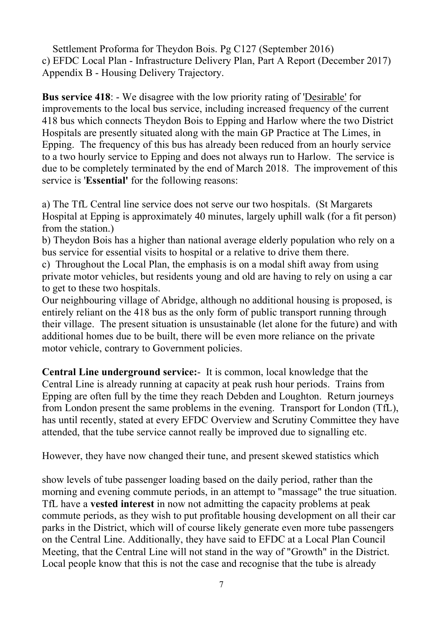Settlement Proforma for Theydon Bois. Pg C127 (September 2016) c) EFDC Local Plan - Infrastructure Delivery Plan, Part A Report (December 2017) Appendix B - Housing Delivery Trajectory.

**Bus service 418**: - We disagree with the low priority rating of 'Desirable' for improvements to the local bus service, including increased frequency of the current 418 bus which connects Theydon Bois to Epping and Harlow where the two District Hospitals are presently situated along with the main GP Practice at The Limes, in Epping. The frequency of this bus has already been reduced from an hourly service to a two hourly service to Epping and does not always run to Harlow. The service is due to be completely terminated by the end of March 2018. The improvement of this service is '**Essential'** for the following reasons:

a) The TfL Central line service does not serve our two hospitals. (St Margarets Hospital at Epping is approximately 40 minutes, largely uphill walk (for a fit person) from the station.)

b) Theydon Bois has a higher than national average elderly population who rely on a bus service for essential visits to hospital or a relative to drive them there.

c) Throughout the Local Plan, the emphasis is on a modal shift away from using private motor vehicles, but residents young and old are having to rely on using a car to get to these two hospitals.

Our neighbouring village of Abridge, although no additional housing is proposed, is entirely reliant on the 418 bus as the only form of public transport running through their village. The present situation is unsustainable (let alone for the future) and with additional homes due to be built, there will be even more reliance on the private motor vehicle, contrary to Government policies.

**Central Line underground service:**- It is common, local knowledge that the Central Line is already running at capacity at peak rush hour periods. Trains from Epping are often full by the time they reach Debden and Loughton. Return journeys from London present the same problems in the evening. Transport for London (TfL), has until recently, stated at every EFDC Overview and Scrutiny Committee they have attended, that the tube service cannot really be improved due to signalling etc.

However, they have now changed their tune, and present skewed statistics which

show levels of tube passenger loading based on the daily period, rather than the morning and evening commute periods, in an attempt to "massage" the true situation. TfL have a **vested interest** in now not admitting the capacity problems at peak commute periods, as they wish to put profitable housing development on all their car parks in the District, which will of course likely generate even more tube passengers on the Central Line. Additionally, they have said to EFDC at a Local Plan Council Meeting, that the Central Line will not stand in the way of "Growth" in the District. Local people know that this is not the case and recognise that the tube is already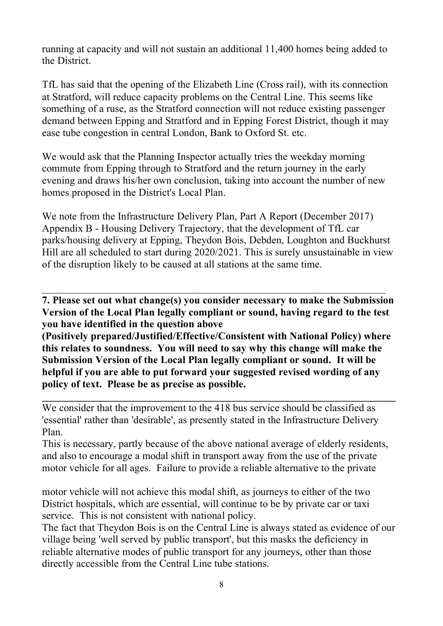running at capacity and will not sustain an additional 11,400 homes being added to the District.

TfL has said that the opening of the Elizabeth Line (Cross rail), with its connection at Stratford, will reduce capacity problems on the Central Line. This seems like something of a ruse, as the Stratford connection will not reduce existing passenger demand between Epping and Stratford and in Epping Forest District, though it may ease tube congestion in central London, Bank to Oxford St. etc.

We would ask that the Planning Inspector actually tries the weekday morning commute from Epping through to Stratford and the return journey in the early evening and draws his/her own conclusion, taking into account the number of new homes proposed in the District's Local Plan.

We note from the Infrastructure Delivery Plan, Part A Report (December 2017) Appendix B - Housing Delivery Trajectory, that the development of TfL car parks/housing delivery at Epping, Theydon Bois, Debden, Loughton and Buckhurst Hill are all scheduled to start during 2020/2021. This is surely unsustainable in view of the disruption likely to be caused at all stations at the same time.

**7. Please set out what change(s) you consider necessary to make the Submission Version of the Local Plan legally compliant or sound, having regard to the test you have identified in the question above** 

 $\_$  , and the set of the set of the set of the set of the set of the set of the set of the set of the set of the set of the set of the set of the set of the set of the set of the set of the set of the set of the set of th

**(Positively prepared/Justified/Effective/Consistent with National Policy) where this relates to soundness. You will need to say why this change will make the Submission Version of the Local Plan legally compliant or sound. It will be helpful if you are able to put forward your suggested revised wording of any policy of text. Please be as precise as possible.**

We consider that the improvement to the 418 bus service should be classified as 'essential' rather than 'desirable', as presently stated in the Infrastructure Delivery Plan.

This is necessary, partly because of the above national average of elderly residents, and also to encourage a modal shift in transport away from the use of the private motor vehicle for all ages. Failure to provide a reliable alternative to the private

motor vehicle will not achieve this modal shift, as journeys to either of the two District hospitals, which are essential, will continue to be by private car or taxi service. This is not consistent with national policy.

The fact that Theydon Bois is on the Central Line is always stated as evidence of our village being 'well served by public transport', but this masks the deficiency in reliable alternative modes of public transport for any journeys, other than those directly accessible from the Central Line tube stations.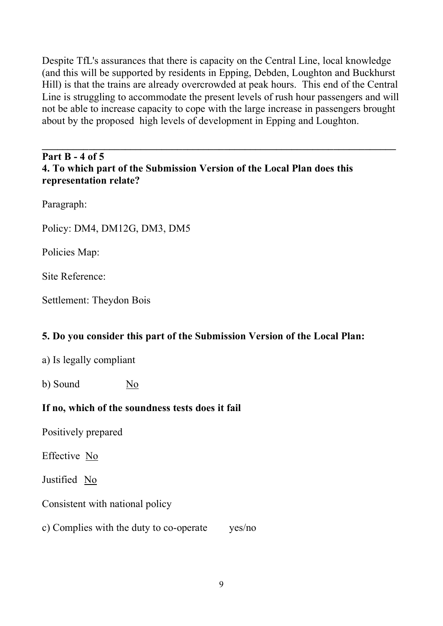Despite TfL's assurances that there is capacity on the Central Line, local knowledge (and this will be supported by residents in Epping, Debden, Loughton and Buckhurst Hill) is that the trains are already overcrowded at peak hours. This end of the Central Line is struggling to accommodate the present levels of rush hour passengers and will not be able to increase capacity to cope with the large increase in passengers brought about by the proposed high levels of development in Epping and Loughton.

# **Part B - 4 of 5 4. To which part of the Submission Version of the Local Plan does this representation relate?**

Paragraph:

Policy: DM4, DM12G, DM3, DM5

Policies Map:

Site Reference:

Settlement: Theydon Bois

# **5. Do you consider this part of the Submission Version of the Local Plan:**

a) Is legally compliant

b) Sound No

#### **If no, which of the soundness tests does it fail**

Positively prepared

Effective No

Justified No

Consistent with national policy

c) Complies with the duty to co-operate yes/no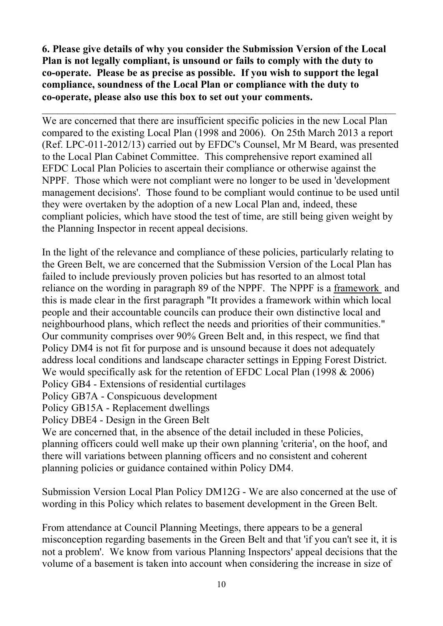**6. Please give details of why you consider the Submission Version of the Local Plan is not legally compliant, is unsound or fails to comply with the duty to co-operate. Please be as precise as possible. If you wish to support the legal compliance, soundness of the Local Plan or compliance with the duty to co-operate, please also use this box to set out your comments.**

 $\_$  , and the contribution of the contribution of  $\mathcal{L}_\mathcal{A}$  , and the contribution of  $\mathcal{L}_\mathcal{A}$ 

We are concerned that there are insufficient specific policies in the new Local Plan compared to the existing Local Plan (1998 and 2006). On 25th March 2013 a report (Ref. LPC-011-2012/13) carried out by EFDC's Counsel, Mr M Beard, was presented to the Local Plan Cabinet Committee. This comprehensive report examined all EFDC Local Plan Policies to ascertain their compliance or otherwise against the NPPF. Those which were not compliant were no longer to be used in 'development management decisions'. Those found to be compliant would continue to be used until they were overtaken by the adoption of a new Local Plan and, indeed, these compliant policies, which have stood the test of time, are still being given weight by the Planning Inspector in recent appeal decisions.

In the light of the relevance and compliance of these policies, particularly relating to the Green Belt, we are concerned that the Submission Version of the Local Plan has failed to include previously proven policies but has resorted to an almost total reliance on the wording in paragraph 89 of the NPPF. The NPPF is a framework and this is made clear in the first paragraph "It provides a framework within which local people and their accountable councils can produce their own distinctive local and neighbourhood plans, which reflect the needs and priorities of their communities." Our community comprises over 90% Green Belt and, in this respect, we find that Policy DM4 is not fit for purpose and is unsound because it does not adequately address local conditions and landscape character settings in Epping Forest District. We would specifically ask for the retention of EFDC Local Plan (1998 & 2006) Policy GB4 - Extensions of residential curtilages

Policy GB7A - Conspicuous development

Policy GB15A - Replacement dwellings

Policy DBE4 - Design in the Green Belt

We are concerned that, in the absence of the detail included in these Policies, planning officers could well make up their own planning 'criteria', on the hoof, and there will variations between planning officers and no consistent and coherent planning policies or guidance contained within Policy DM4.

Submission Version Local Plan Policy DM12G - We are also concerned at the use of wording in this Policy which relates to basement development in the Green Belt.

From attendance at Council Planning Meetings, there appears to be a general misconception regarding basements in the Green Belt and that 'if you can't see it, it is not a problem'. We know from various Planning Inspectors' appeal decisions that the volume of a basement is taken into account when considering the increase in size of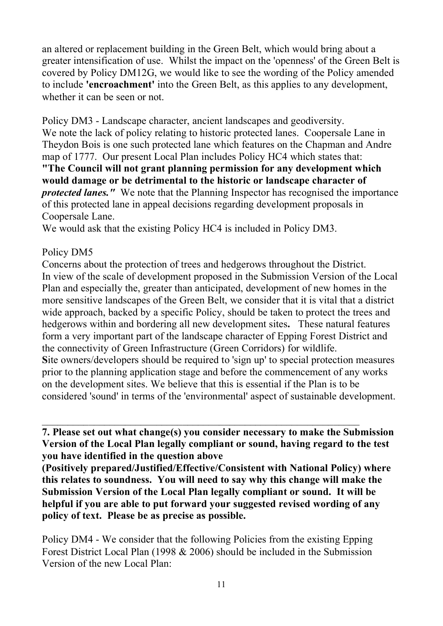an altered or replacement building in the Green Belt, which would bring about a greater intensification of use. Whilst the impact on the 'openness' of the Green Belt is covered by Policy DM12G, we would like to see the wording of the Policy amended to include **'encroachment'** into the Green Belt, as this applies to any development, whether it can be seen or not.

Policy DM3 - Landscape character, ancient landscapes and geodiversity. We note the lack of policy relating to historic protected lanes. Coopersale Lane in Theydon Bois is one such protected lane which features on the Chapman and Andre map of 1777. Our present Local Plan includes Policy HC4 which states that: **"The Council will not grant planning permission for any development which would damage or be detrimental to the historic or landscape character of**  *protected lanes."* We note that the Planning Inspector has recognised the importance of this protected lane in appeal decisions regarding development proposals in Coopersale Lane.

We would ask that the existing Policy HC4 is included in Policy DM3.

#### Policy DM5

Concerns about the protection of trees and hedgerows throughout the District. In view of the scale of development proposed in the Submission Version of the Local Plan and especially the, greater than anticipated, development of new homes in the more sensitive landscapes of the Green Belt, we consider that it is vital that a district wide approach, backed by a specific Policy, should be taken to protect the trees and hedgerows within and bordering all new development sites**.** These natural features form a very important part of the landscape character of Epping Forest District and the connectivity of Green Infrastructure (Green Corridors) for wildlife. **S**ite owners/developers should be required to 'sign up' to special protection measures prior to the planning application stage and before the commencement of any works on the development sites. We believe that this is essential if the Plan is to be considered 'sound' in terms of the 'environmental' aspect of sustainable development.

**7. Please set out what change(s) you consider necessary to make the Submission Version of the Local Plan legally compliant or sound, having regard to the test you have identified in the question above** 

**(Positively prepared/Justified/Effective/Consistent with National Policy) where this relates to soundness. You will need to say why this change will make the Submission Version of the Local Plan legally compliant or sound. It will be helpful if you are able to put forward your suggested revised wording of any policy of text. Please be as precise as possible.**

Policy DM4 - We consider that the following Policies from the existing Epping Forest District Local Plan (1998 & 2006) should be included in the Submission Version of the new Local Plan: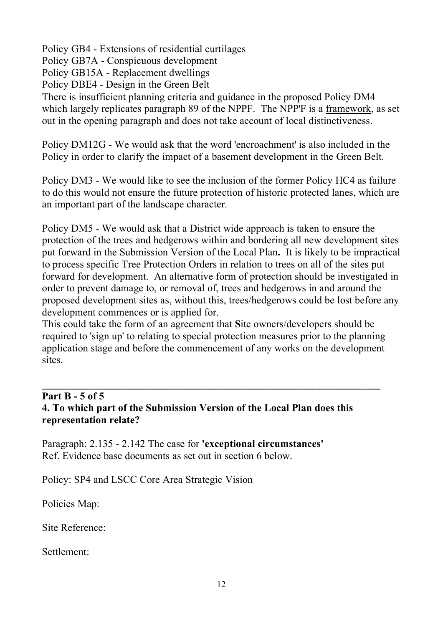Policy GB4 - Extensions of residential curtilages Policy GB7A - Conspicuous development Policy GB15A - Replacement dwellings Policy DBE4 - Design in the Green Belt There is insufficient planning criteria and guidance in the proposed Policy DM4 which largely replicates paragraph 89 of the NPPF. The NPP'F is a framework, as set out in the opening paragraph and does not take account of local distinctiveness.

Policy DM12G - We would ask that the word 'encroachment' is also included in the Policy in order to clarify the impact of a basement development in the Green Belt.

Policy DM3 - We would like to see the inclusion of the former Policy HC4 as failure to do this would not ensure the future protection of historic protected lanes, which are an important part of the landscape character.

Policy DM5 - We would ask that a District wide approach is taken to ensure the protection of the trees and hedgerows within and bordering all new development sites put forward in the Submission Version of the Local Plan**.** It is likely to be impractical to process specific Tree Protection Orders in relation to trees on all of the sites put forward for development. An alternative form of protection should be investigated in order to prevent damage to, or removal of, trees and hedgerows in and around the proposed development sites as, without this, trees/hedgerows could be lost before any development commences or is applied for.

This could take the form of an agreement that **S**ite owners/developers should be required to 'sign up' to relating to special protection measures prior to the planning application stage and before the commencement of any works on the development sites.

**\_\_\_\_\_\_\_\_\_\_\_\_\_\_\_\_\_\_\_\_\_\_\_\_\_\_\_\_\_\_\_\_\_\_\_\_\_\_\_\_\_\_\_\_\_\_\_\_\_\_\_\_\_\_\_\_\_\_\_\_\_\_\_\_\_**

### **Part B - 5 of 5 4. To which part of the Submission Version of the Local Plan does this representation relate?**

Paragraph: 2.135 - 2.142 The case for **'exceptional circumstances'** Ref. Evidence base documents as set out in section 6 below.

Policy: SP4 and LSCC Core Area Strategic Vision

Policies Map:

Site Reference:

Settlement: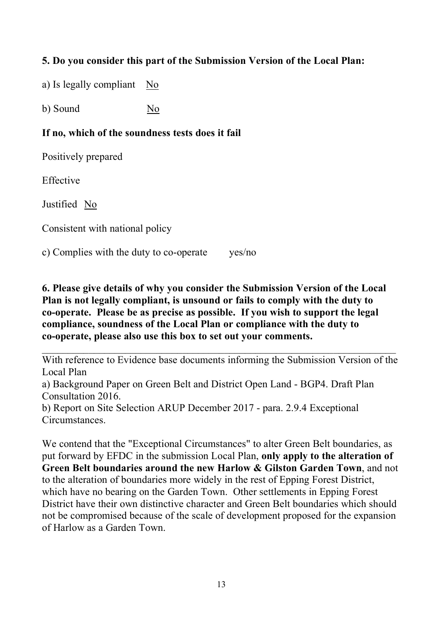# **5. Do you consider this part of the Submission Version of the Local Plan:**

a) Is legally compliant No

b) Sound No

#### **If no, which of the soundness tests does it fail**

Positively prepared

Effective

Justified No

Consistent with national policy

c) Complies with the duty to co-operate yes/no

**6. Please give details of why you consider the Submission Version of the Local Plan is not legally compliant, is unsound or fails to comply with the duty to co-operate. Please be as precise as possible. If you wish to support the legal compliance, soundness of the Local Plan or compliance with the duty to co-operate, please also use this box to set out your comments.**

With reference to Evidence base documents informing the Submission Version of the Local Plan

 $\_$  , and the contribution of the contribution of  $\mathcal{L}_\mathcal{A}$  , and the contribution of  $\mathcal{L}_\mathcal{A}$ 

a) Background Paper on Green Belt and District Open Land - BGP4. Draft Plan Consultation 2016.

b) Report on Site Selection ARUP December 2017 - para. 2.9.4 Exceptional Circumstances.

We contend that the "Exceptional Circumstances" to alter Green Belt boundaries, as put forward by EFDC in the submission Local Plan, **only apply to the alteration of Green Belt boundaries around the new Harlow & Gilston Garden Town**, and not to the alteration of boundaries more widely in the rest of Epping Forest District, which have no bearing on the Garden Town. Other settlements in Epping Forest District have their own distinctive character and Green Belt boundaries which should not be compromised because of the scale of development proposed for the expansion of Harlow as a Garden Town.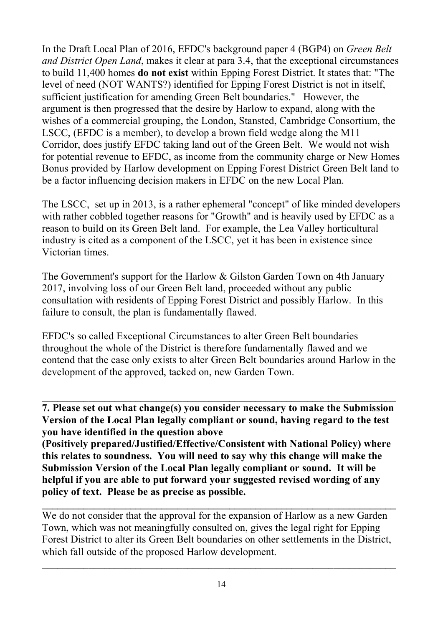In the Draft Local Plan of 2016, EFDC's background paper 4 (BGP4) on *Green Belt and District Open Land*, makes it clear at para 3.4, that the exceptional circumstances to build 11,400 homes **do not exist** within Epping Forest District. It states that: "The level of need (NOT WANTS?) identified for Epping Forest District is not in itself, sufficient justification for amending Green Belt boundaries." However, the argument is then progressed that the desire by Harlow to expand, along with the wishes of a commercial grouping, the London, Stansted, Cambridge Consortium, the LSCC, (EFDC is a member), to develop a brown field wedge along the M11 Corridor, does justify EFDC taking land out of the Green Belt. We would not wish for potential revenue to EFDC, as income from the community charge or New Homes Bonus provided by Harlow development on Epping Forest District Green Belt land to be a factor influencing decision makers in EFDC on the new Local Plan.

The LSCC, set up in 2013, is a rather ephemeral "concept" of like minded developers with rather cobbled together reasons for "Growth" and is heavily used by EFDC as a reason to build on its Green Belt land. For example, the Lea Valley horticultural industry is cited as a component of the LSCC, yet it has been in existence since Victorian times.

The Government's support for the Harlow & Gilston Garden Town on 4th January 2017, involving loss of our Green Belt land, proceeded without any public consultation with residents of Epping Forest District and possibly Harlow. In this failure to consult, the plan is fundamentally flawed.

EFDC's so called Exceptional Circumstances to alter Green Belt boundaries throughout the whole of the District is therefore fundamentally flawed and we contend that the case only exists to alter Green Belt boundaries around Harlow in the development of the approved, tacked on, new Garden Town.

**7. Please set out what change(s) you consider necessary to make the Submission Version of the Local Plan legally compliant or sound, having regard to the test you have identified in the question above** 

**(Positively prepared/Justified/Effective/Consistent with National Policy) where this relates to soundness. You will need to say why this change will make the Submission Version of the Local Plan legally compliant or sound. It will be helpful if you are able to put forward your suggested revised wording of any policy of text. Please be as precise as possible.**

We do not consider that the approval for the expansion of Harlow as a new Garden Town, which was not meaningfully consulted on, gives the legal right for Epping Forest District to alter its Green Belt boundaries on other settlements in the District, which fall outside of the proposed Harlow development.

 $\_$  , and the contribution of the contribution of  $\mathcal{L}_\mathcal{A}$  , and the contribution of  $\mathcal{L}_\mathcal{A}$